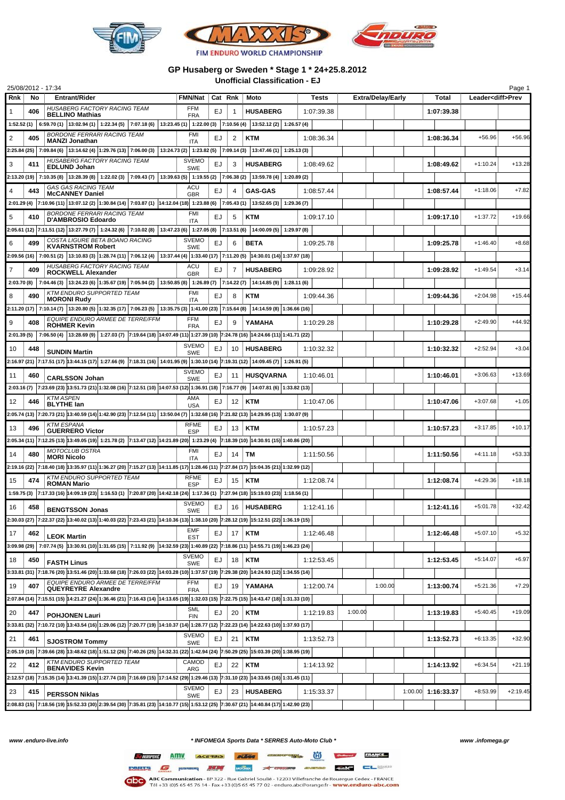

## **GP Husaberg or Sweden \* Stage 1 \* 24+25.8.2012 Unofficial Classification - EJ**

|             |     | 25/08/2012 - 17:34                                                                                                                                         |                            |         |                |                            |            |         |                          |                    |                          | Page 1     |
|-------------|-----|------------------------------------------------------------------------------------------------------------------------------------------------------------|----------------------------|---------|----------------|----------------------------|------------|---------|--------------------------|--------------------|--------------------------|------------|
| Rnk         | No  | <b>Entrant/Rider</b>                                                                                                                                       | <b>FMN/Nat</b>             | Cat Rnk |                | Moto                       | Tests      |         | <b>Extra/Delay/Early</b> | Total              | Leader <diff>Prev</diff> |            |
| 1           | 406 | HUSABERG FACTORY RACING TEAM<br><b>BELLINO Mathias</b>                                                                                                     | FFM<br><b>FRA</b>          | EJ      | 1              | <b>HUSABERG</b>            | 1:07:39.38 |         |                          | 1:07:39.38         |                          |            |
| 1:52.52 (1) |     | 6:59.70 (1) $ 13:02.94(1) $ $ 1:22.34(5) $ $ 7:07.18(6) $ $ 13:23.45(1) $ $ 1:22.00(3) $ $ 7:10.56(4) $ $ 13:52.12(2) $ $ 1:26.57(4) $                     |                            |         |                |                            |            |         |                          |                    |                          |            |
| 2           | 405 | <b>BORDONE FERRARI RACING TEAM</b><br><b>MANZI Jonathan</b>                                                                                                | FMI<br>ITA                 | EJ      | 2              | <b>KTM</b>                 | 1:08:36.34 |         |                          | 1:08:36.34         | $+56.96$                 | $+56.96$   |
|             |     | 2:25.84 (25) 7:09.84 (6) 13:14.62 (4) 1:29.76 (13) 7:06.00 (3) 13:24.73 (2) 1:23.82 (5) 7:09.14 (3)                                                        |                            |         |                | $13:47.46(1)$ 1:25.13(3)   |            |         |                          |                    |                          |            |
| 3           | 411 | HUSABERG FACTORY RACING TEAM                                                                                                                               | <b>SVEMO</b>               | EJ      | 3              | <b>HUSABERG</b>            | 1:08:49.62 |         |                          | 1:08:49.62         | $+1:10.24$               | $+13.28$   |
|             |     | <b>EDLUND Johan</b><br>2:13.20 (19) 7:10.35 (8) 13:28.39 (8) 1:22.02 (3) 7:09.43 (7) 13:39.63 (5) 1:19.55 (2) 7:06.38 (2)                                  | <b>SWE</b>                 |         |                | 13:59.78 (4)   1:20.89 (2) |            |         |                          |                    |                          |            |
|             |     | <b>GAS GAS RACING TEAM</b>                                                                                                                                 | ACU                        |         |                |                            |            |         |                          |                    |                          |            |
| 4           | 443 | <b>McCANNEY Daniel</b>                                                                                                                                     | <b>GBR</b>                 | EJ      | $\overline{4}$ | <b>GAS-GAS</b>             | 1:08:57.44 |         |                          | 1:08:57.44         | $+1:18.06$               | $+7.82$    |
|             |     | 2:01.29 (4) 7:10.96 (11) 13:07.12 (2) 1:30.84 (14) 7:03.87 (1) 14:12.04 (18) 1:23.88 (6) 7:05.43 (1) 13:52.65 (3) 1:29.36 (7)                              |                            |         |                |                            |            |         |                          |                    |                          |            |
| 5           | 410 | <b>BORDONE FERRARI RACING TEAM</b><br>D'AMBROSIO Edoardo                                                                                                   | FMI<br><b>ITA</b>          | EJ      | 5              | KTM                        | 1:09:17.10 |         |                          | 1:09:17.10         | $+1:37.72$               | $+19.66$   |
|             |     | 2:05.61 (12)  7:11.51 (12)  13:27.79 (7)   1:24.32 (6)   7:10.02 (8)   13:47.23 (6)   1:27.05 (8)   7:13.51 (6)                                            |                            |         |                | 14:00.09 (5)   1:29.97 (8) |            |         |                          |                    |                          |            |
| 6           | 499 | COSTA LIGURE BETA BOANO RACING<br><b>KVARNSTROM Robert</b>                                                                                                 | <b>SVEMO</b><br><b>SWE</b> | EJ      | 6              | BETA                       | 1:09:25.78 |         |                          | 1:09:25.78         | $+1:46.40$               | $+8.68$    |
|             |     | 2:09.56 (16) 7:00.51 (2) 13:10.83 (3) 1:28.74 (11) 7:06.12 (4) 13:37.44 (4) 1:33.40 (17) 7:11.20 (5) 14:30.01 (14) 1:37.97 (18)                            |                            |         |                |                            |            |         |                          |                    |                          |            |
| 7           | 409 | HUSABERG FACTORY RACING TEAM                                                                                                                               | ACU                        | EJ      | 7              | <b>HUSABERG</b>            | 1:09:28.92 |         |                          | 1:09:28.92         | $+1:49.54$               | $+3.14$    |
| 2:03.70(8)  |     | <b>ROCKWELL Alexander</b><br>7:04.46 (3) 13:24.23 (6) 1:35.67 (19) 7:05.94 (2) 13:50.85 (8) 1:26.89 (7) 7:14.22 (7) 14:14.85 (9) 1:28.11 (6)               | <b>GBR</b>                 |         |                |                            |            |         |                          |                    |                          |            |
|             |     | KTM ENDURO SUPPORTED TEAM                                                                                                                                  | <b>FMI</b>                 |         |                |                            | 1:09:44.36 |         |                          |                    | $+2:04.98$               | $+15.44$   |
| 8           | 490 | <b>MORONI Rudy</b>                                                                                                                                         | ITA                        | EJ      | 8              | KTM                        |            |         |                          | 1:09:44.36         |                          |            |
|             |     | 2:11.20 (17) 7:10.14 (7) 13:20.80 (5) 1:32.35 (17) 7:06.23 (5) 13:35.75 (3) 1:41.00 (23) 7:15.64 (8)<br>EQUIPE ENDURO ARMEE DE TERRE/FFM                   |                            |         |                | 14:14.59 (8) 1:36.66 (16)  |            |         |                          |                    |                          |            |
| 9           | 408 | <b>ROHMER Kevin</b>                                                                                                                                        | <b>FFM</b><br><b>FRA</b>   | EJ      | 9              | YAMAHA                     | 1:10:29.28 |         |                          | 1:10:29.28         | $+2:49.90$               | $+44.92$   |
| 2:01.39(5)  |     | 7:06.50 (4) 13:28.69 (9) 1:27.03 (7) 7:19.64 (18) 14:07.49 (11) 1:27.39 (10) 7:24.78 (16) 14:24.66 (11) 1:41.71 (22)                                       |                            |         |                |                            |            |         |                          |                    |                          |            |
| 10          | 448 | <b>SUNDIN Martin</b>                                                                                                                                       | <b>SVEMO</b><br><b>SWE</b> | EJ      | 10             | <b>HUSABERG</b>            | 1:10:32.32 |         |                          | 1:10:32.32         | $+2:52.94$               | $+3.04$    |
|             |     | 2:16.97 (21) 7:17.51 (17) 13:44.15 (17) 1:27.66 (9) 7:18.31 (16)   14:01.95 (9)   1:30.10 (14)  7:19.31 (12)   14:09.45 (7)   1:26.91 (5)                  |                            |         |                |                            |            |         |                          |                    |                          |            |
| 11          | 460 |                                                                                                                                                            | <b>SVEMO</b>               | EJ      | 11             | <b>HUSQVARNA</b>           | 1:10:46.01 |         |                          | 1:10:46.01         | $+3:06.63$               | $+13.69$   |
|             |     | <b>CARLSSON Johan</b><br>2:03.16 (7) 7:23.69 (23) 13:51.73 (21) 1:32.08 (16) 7:12.51 (10) 14:07.53 (12) 1:36.91 (18) 7:16.77 (9) 14:07.81 (6) 1:33.82 (13) | <b>SWE</b>                 |         |                |                            |            |         |                          |                    |                          |            |
|             |     | <b>KTM ASPEN</b>                                                                                                                                           | AMA                        |         |                |                            |            |         |                          |                    |                          |            |
| 12          | 446 | <b>BLYTHE lan</b>                                                                                                                                          | <b>USA</b>                 | EJ.     | 12             | KTM                        | 1:10:47.06 |         |                          | 1:10:47.06         | $+3:07.68$               | $+1.05$    |
|             |     | 2:05.74 (13)  7:20.73 (21)  13:40.59 (14)  1:42.90 (23)  7:12.54 (11)   13:50.04 (7)   1:32.68 (16)  7:21.82 (13)  14:29.95 (13)  1:30.07 (9)              |                            |         |                |                            |            |         |                          |                    |                          |            |
| 13          | 496 | <b>KTM ESPANA</b><br><b>GUERRERO Victor</b>                                                                                                                | <b>RFME</b><br><b>ESP</b>  | EJ      | 13             | <b>KTM</b>                 | 1:10:57.23 |         |                          | 1:10:57.23         | $+3:17.85$               | $+10.17$   |
|             |     | 2:05.34 (11)  7:12.25 (13)  13:49.05 (19)   1:21.78 (2)  7:13.47 (12)  14:21.89 (20)   1:23.29 (4)  7:18.39 (10)  14:30.91 (15) 1:40.86 (20)               |                            |         |                |                            |            |         |                          |                    |                          |            |
| 14          | 480 | MOTOCLUB OSTRA<br><b>MORI Nicolo</b>                                                                                                                       | <b>FMI</b>                 | EJ      | 14             | TМ                         | 1:11:50.56 |         |                          | 1:11:50.56         | +4:11.18                 | $+53.33$   |
|             |     | 2:19.16 (22) 7:18.40 (18) 13:35.97 (11) 1:36.27 (20) 7:15.27 (13) 14:11.85 (17) 1:28.46 (11) 7:27.84 (17) 15:04.35 (21) 1:32.99 (12)                       | <b>ITA</b>                 |         |                |                            |            |         |                          |                    |                          |            |
| 15          | 474 | <b>KTM ENDURO SUPPORTED TEAM</b>                                                                                                                           | <b>RFME</b>                | EJ      | 15             | KTM                        | 1:12:08.74 |         |                          | 1:12:08.74         | $+4:29.36$               | $+18.18$   |
|             |     | <b>ROMAN Mario</b>                                                                                                                                         | <b>ESP</b>                 |         |                |                            |            |         |                          |                    |                          |            |
|             |     | 1:59.75 (3) 7:17.33 (16) 14:09.19 (23) 1:16.53 (1) 7:20.87 (20) 14:42.18 (24) 1:17.36 (1) 7:27.94 (18) 15:19.03 (23) 1:18.56 (1)                           | <b>SVEMO</b>               |         |                |                            |            |         |                          |                    |                          |            |
| 16          | 458 | <b>BENGTSSON Jonas</b>                                                                                                                                     | SWE                        | EJ      | 16             | <b>HUSABERG</b>            | 1:12:41.16 |         |                          | 1:12:41.16         | $+5:01.78$               | $+32.42$   |
|             |     | 2:30.03 (27) 7:22.37 (22) 13:40.02 (13) 1:40.03 (22) 7:23.43 (21) 14:10.36 (13) 1:38.10 (20) 7:28.12 (19) 15:12.51 (22) 1:36.19 (15)                       |                            |         |                |                            |            |         |                          |                    |                          |            |
| 17          | 462 | <b>LEOK Martin</b>                                                                                                                                         | EMF<br><b>EST</b>          | EJ      | 17             | <b>KTM</b>                 | 1:12:46.48 |         |                          | 1:12:46.48         | $+5:07.10$               | $+5.32$    |
|             |     | 3:09.98 (29) 7:07.74 (5) 13:30.91 (10) 1:31.65 (15) 7:11.92 (9) 14:32.59 (23) 1:40.89 (22) 7:18.86 (11) 14:55.71 (19) 1:46.23 (24)                         |                            |         |                |                            |            |         |                          |                    |                          |            |
| 18          | 450 | <b>FASTH Linus</b>                                                                                                                                         | <b>SVEMO</b><br>SWE        | EJ      | 18             | <b>KTM</b>                 | 1:12:53.45 |         |                          | 1:12:53.45         | $+5:14.07$               | $+6.97$    |
|             |     | 3:33.81 (31)  7:18.76 (20)  13:51.46 (20)   1:33.68 (18)  7:26.03 (22)  14:03.28 (10)  1:37.57 (19)  7:29.38 (20)  14:24.93 (12)  1:34.55 (14)             |                            |         |                |                            |            |         |                          |                    |                          |            |
| 19          | 407 | EQUIPE ENDURO ARMEE DE TERRE/FFM                                                                                                                           | <b>FFM</b>                 | EJ      | 19             | YAMAHA                     | 1:12:00.74 |         | 1:00.00                  | 1:13:00.74         | $+5:21.36$               | $+7.29$    |
|             |     | <b>QUEYREYRE Alexandre</b>                                                                                                                                 | <b>FRA</b>                 |         |                |                            |            |         |                          |                    |                          |            |
|             |     | 2:07.84 (14) 7:15.51 (15) 14:21.27 (24) 1:36.46 (21) 7:16.43 (14) 14:13.65 (19) 1:32.03 (15) 7:22.75 (15) 14:43.47 (18) 1:31.33 (10)                       |                            |         |                |                            |            |         |                          |                    |                          |            |
| 20          | 447 | <b>POHJONEN Lauri</b>                                                                                                                                      | <b>SML</b><br><b>FIN</b>   | EJ      | 20             | <b>KTM</b>                 | 1:12:19.83 | 1:00.00 |                          | 1:13:19.83         | $+5:40.45$               | $+19.09$   |
|             |     | 3:33.81 (32) 7:10.72 (10) 13:43.54 (16) 1:29.06 (12) 7:20.77 (19) 14:10.37 (14) 1:28.77 (12) 7:22.23 (14) 14:22.63 (10) 1:37.93 (17)                       |                            |         |                |                            |            |         |                          |                    |                          |            |
| 21          | 461 | <b>SJOSTROM Tommy</b>                                                                                                                                      | <b>SVEMO</b><br>SWE        | EJ      | 21             | <b>KTM</b>                 | 1:13:52.73 |         |                          | 1:13:52.73         | $+6:13.35$               | $+32.90$   |
|             |     | 2:05.19 (10) 7:39.66 (28) 13:48.62 (18) 1:51.12 (26) 7:40.26 (25) 14:32.31 (22) 1:42.94 (24) 7:50.29 (25) 15:03.39 (20) 1:38.95 (19)                       |                            |         |                |                            |            |         |                          |                    |                          |            |
| 22          | 412 | <b>KTM ENDURO SUPPORTED TEAM</b><br><b>BENAVIDES Kevin</b>                                                                                                 | CAMOD                      | EJ      | 22             | <b>KTM</b>                 | 1:14:13.92 |         |                          | 1:14:13.92         | $+6:34.54$               | $+21.19$   |
|             |     | 2:12.57 (18) 7:15.35 (14) 13:41.39 (15) 1:27.74 (10) 7:16.69 (15) 17:14.52 (29) 1:29.46 (13) 7:31.10 (23) 14:33.65 (16) 1:31.45 (11)                       | ARG                        |         |                |                            |            |         |                          |                    |                          |            |
|             |     |                                                                                                                                                            | <b>SVEMO</b>               |         |                |                            |            |         |                          |                    |                          |            |
| 23          | 415 | <b>PERSSON Niklas</b>                                                                                                                                      | <b>SWE</b>                 | EJ      | 23             | <b>HUSABERG</b>            | 1:15:33.37 |         |                          | 1:00.00 1:16:33.37 | $+8:53.99$               | $+2:19.45$ |
|             |     | 2:08.83 (15) 7:18.56 (19) 15:52.33 (30) 2:39.54 (30) 7:35.81 (23) 14:10.77 (15) 1:53.12 (25) 7:30.67 (21) 14:40.84 (17) 1:42.90 (23)                       |                            |         |                |                            |            |         |                          |                    |                          |            |

*www .enduro-live.info \* INFOMEGA Sports Data \* SERRES Auto-Moto Club \* www .infomega.gr***ARRANGE ANIV ACCESSION ATTO CONSUMING (C)** 

PARTS C HUSHBERG AND WORKS DE CREATED COMPANY COMPANY COMPANY **GDC** ABC Communication - BP 322 - Rue Gabriel Soulié - 12203 Villefranche de Rouergue Cedex - FRANCE<br>Tél +33 (0)5 65 45 76 14 - Fax +33 (0)5 65 45 77 02 - enduro.abc@orange.fr - www.enduro-abc.com